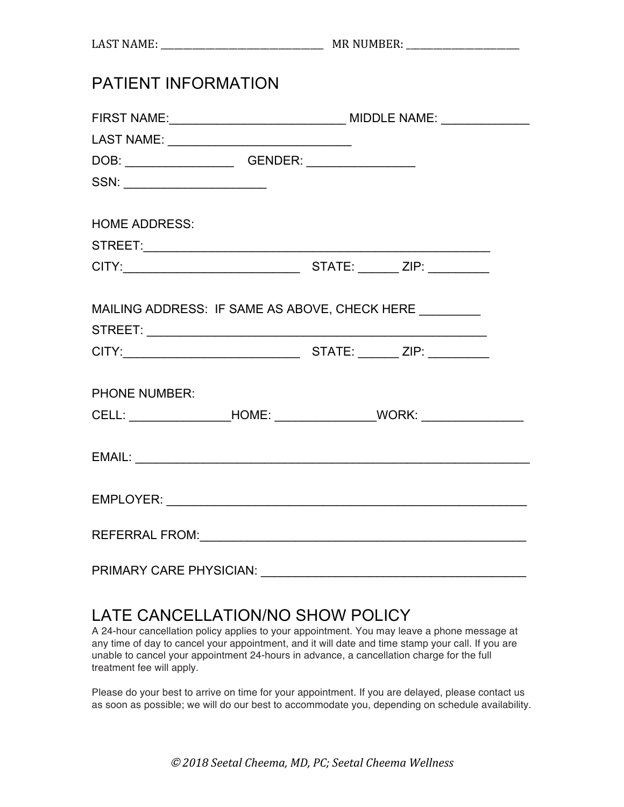| <b>PATIENT INFORMATION</b>                                                                                             |                                                                                  |  |  |  |
|------------------------------------------------------------------------------------------------------------------------|----------------------------------------------------------------------------------|--|--|--|
|                                                                                                                        |                                                                                  |  |  |  |
|                                                                                                                        |                                                                                  |  |  |  |
|                                                                                                                        |                                                                                  |  |  |  |
| $SSN: \begin{tabular}{ c c c c } \hline \quad \quad & \quad \quad & \quad \quad & \quad \quad \\ \hline \end{tabular}$ |                                                                                  |  |  |  |
| <b>HOME ADDRESS:</b>                                                                                                   |                                                                                  |  |  |  |
|                                                                                                                        |                                                                                  |  |  |  |
|                                                                                                                        |                                                                                  |  |  |  |
|                                                                                                                        | MAILING ADDRESS: IF SAME AS ABOVE, CHECK HERE ________                           |  |  |  |
| <b>PHONE NUMBER:</b>                                                                                                   |                                                                                  |  |  |  |
|                                                                                                                        | CELL: _______________________HOME: ________________________WORK: _______________ |  |  |  |
|                                                                                                                        |                                                                                  |  |  |  |
|                                                                                                                        |                                                                                  |  |  |  |
|                                                                                                                        |                                                                                  |  |  |  |
|                                                                                                                        | PRIMARY CARE PHYSICIAN: University of Anti-                                      |  |  |  |

## LATE CANCELLATION/NO SHOW POLICY

A 24-hour cancellation policy applies to your appointment. You may leave a phone message at any time of day to cancel your appointment, and it will date and time stamp your call. If you are unable to cancel your appointment 24-hours in advance, a cancellation charge for the full treatment fee will apply.

Please do your best to arrive on time for your appointment. If you are delayed, please contact us as soon as possible; we will do our best to accommodate you, depending on schedule availability.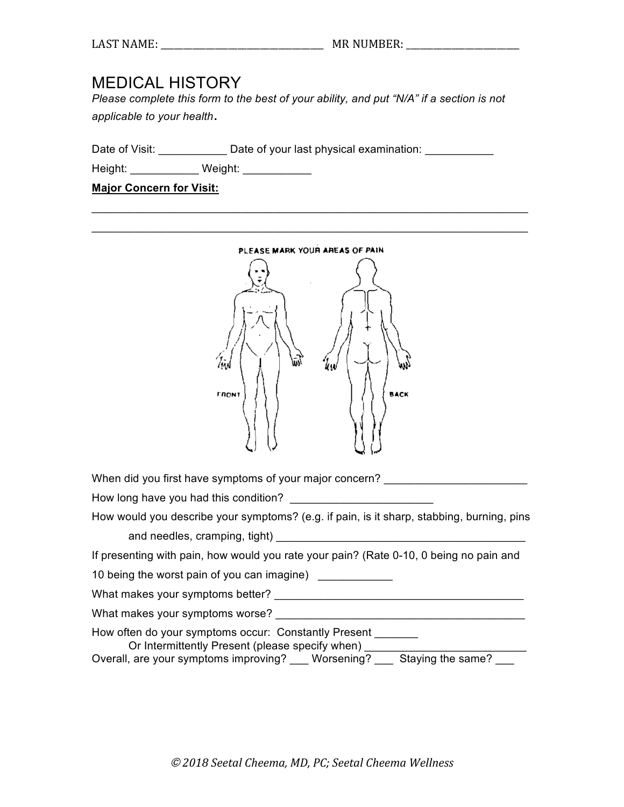## MEDICAL HISTORY

*Please complete this form to the best of your ability, and put "N/A" if a section is not applicable to your health*.

Date of Visit: Date of your last physical examination:

Height: \_\_\_\_\_\_\_\_\_\_\_\_ Weight: \_\_\_\_\_\_\_\_\_\_\_

**Major Concern for Visit:**



\_\_\_\_\_\_\_\_\_\_\_\_\_\_\_\_\_\_\_\_\_\_\_\_\_\_\_\_\_\_\_\_\_\_\_\_\_\_\_\_\_\_\_\_\_\_\_\_\_\_\_\_\_\_\_\_\_\_\_\_\_\_\_\_\_\_\_\_\_\_

When did you first have symptoms of your major concern?

How long have you had this condition?

How would you describe your symptoms? (e.g. if pain, is it sharp, stabbing, burning, pins and needles, cramping, tight) \_\_\_\_\_\_\_\_\_\_\_\_\_\_\_\_\_\_\_\_\_\_\_\_\_\_\_\_\_\_\_\_\_\_\_\_\_\_\_\_

If presenting with pain, how would you rate your pain? (Rate 0-10, 0 being no pain and

10 being the worst pain of you can imagine) \_\_\_\_\_\_\_\_\_\_\_\_

What makes your symptoms better? \_\_\_\_\_\_\_\_\_\_\_\_\_\_\_\_\_\_\_\_\_\_\_\_\_\_\_\_\_\_\_\_\_\_\_\_\_\_\_\_

What makes your symptoms worse?

How often do your symptoms occur: Constantly Present

Or Intermittently Present (please specify when) \_\_\_\_\_\_\_

Overall, are your symptoms improving? \_\_\_ Worsening? \_\_\_ Staying the same? \_\_\_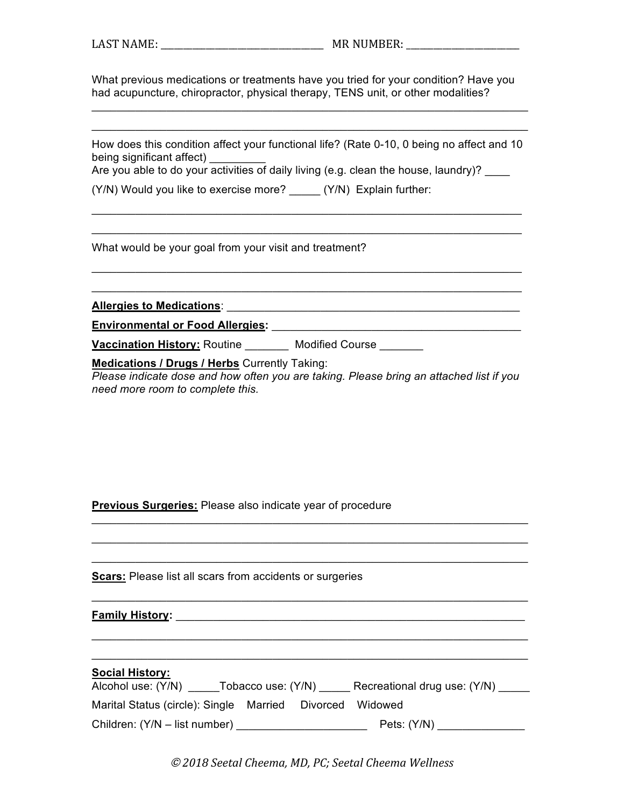What previous medications or treatments have you tried for your condition? Have you had acupuncture, chiropractor, physical therapy, TENS unit, or other modalities?

\_\_\_\_\_\_\_\_\_\_\_\_\_\_\_\_\_\_\_\_\_\_\_\_\_\_\_\_\_\_\_\_\_\_\_\_\_\_\_\_\_\_\_\_\_\_\_\_\_\_\_\_\_\_\_\_\_\_\_\_\_\_\_\_\_\_\_\_\_\_ \_\_\_\_\_\_\_\_\_\_\_\_\_\_\_\_\_\_\_\_\_\_\_\_\_\_\_\_\_\_\_\_\_\_\_\_\_\_\_\_\_\_\_\_\_\_\_\_\_\_\_\_\_\_\_\_\_\_\_\_\_\_\_\_\_\_\_\_\_\_

How does this condition affect your functional life? (Rate 0-10, 0 being no affect and 10 being significant affect)

\_\_\_\_\_\_\_\_\_\_\_\_\_\_\_\_\_\_\_\_\_\_\_\_\_\_\_\_\_\_\_\_\_\_\_\_\_\_\_\_\_\_\_\_\_\_\_\_\_\_\_\_\_\_\_\_\_\_\_\_\_\_\_\_\_\_\_\_\_ \_\_\_\_\_\_\_\_\_\_\_\_\_\_\_\_\_\_\_\_\_\_\_\_\_\_\_\_\_\_\_\_\_\_\_\_\_\_\_\_\_\_\_\_\_\_\_\_\_\_\_\_\_\_\_\_\_\_\_\_\_\_\_\_\_\_\_\_\_

\_\_\_\_\_\_\_\_\_\_\_\_\_\_\_\_\_\_\_\_\_\_\_\_\_\_\_\_\_\_\_\_\_\_\_\_\_\_\_\_\_\_\_\_\_\_\_\_\_\_\_\_\_\_\_\_\_\_\_\_\_\_\_\_\_\_\_\_\_ \_\_\_\_\_\_\_\_\_\_\_\_\_\_\_\_\_\_\_\_\_\_\_\_\_\_\_\_\_\_\_\_\_\_\_\_\_\_\_\_\_\_\_\_\_\_\_\_\_\_\_\_\_\_\_\_\_\_\_\_\_\_\_\_\_\_\_\_\_

Are you able to do your activities of daily living (e.g. clean the house, laundry)?

(Y/N) Would you like to exercise more? (Y/N) Explain further:

What would be your goal from your visit and treatment?

**Allergies to Medications**: \_\_\_\_\_\_\_\_\_\_\_\_\_\_\_\_\_\_\_\_\_\_\_\_\_\_\_\_\_\_\_\_\_\_\_\_\_\_\_\_\_\_\_\_\_\_\_

**Environmental or Food Allergies:** \_\_\_\_\_\_\_\_\_\_\_\_\_\_\_\_\_\_\_\_\_\_\_\_\_\_\_\_\_\_\_\_\_\_\_\_\_\_\_\_

**Vaccination History:** Routine **Modified Course** 

**Medications / Drugs / Herbs** Currently Taking:

*Please indicate dose and how often you are taking. Please bring an attached list if you need more room to complete this.* 

\_\_\_\_\_\_\_\_\_\_\_\_\_\_\_\_\_\_\_\_\_\_\_\_\_\_\_\_\_\_\_\_\_\_\_\_\_\_\_\_\_\_\_\_\_\_\_\_\_\_\_\_\_\_\_\_\_\_\_\_\_\_\_\_\_\_\_\_\_\_ \_\_\_\_\_\_\_\_\_\_\_\_\_\_\_\_\_\_\_\_\_\_\_\_\_\_\_\_\_\_\_\_\_\_\_\_\_\_\_\_\_\_\_\_\_\_\_\_\_\_\_\_\_\_\_\_\_\_\_\_\_\_\_\_\_\_\_\_\_\_ \_\_\_\_\_\_\_\_\_\_\_\_\_\_\_\_\_\_\_\_\_\_\_\_\_\_\_\_\_\_\_\_\_\_\_\_\_\_\_\_\_\_\_\_\_\_\_\_\_\_\_\_\_\_\_\_\_\_\_\_\_\_\_\_\_\_\_\_\_\_

\_\_\_\_\_\_\_\_\_\_\_\_\_\_\_\_\_\_\_\_\_\_\_\_\_\_\_\_\_\_\_\_\_\_\_\_\_\_\_\_\_\_\_\_\_\_\_\_\_\_\_\_\_\_\_\_\_\_\_\_\_\_\_\_\_\_\_\_\_\_

\_\_\_\_\_\_\_\_\_\_\_\_\_\_\_\_\_\_\_\_\_\_\_\_\_\_\_\_\_\_\_\_\_\_\_\_\_\_\_\_\_\_\_\_\_\_\_\_\_\_\_\_\_\_\_\_\_\_\_\_\_\_\_\_\_\_\_\_\_\_ \_\_\_\_\_\_\_\_\_\_\_\_\_\_\_\_\_\_\_\_\_\_\_\_\_\_\_\_\_\_\_\_\_\_\_\_\_\_\_\_\_\_\_\_\_\_\_\_\_\_\_\_\_\_\_\_\_\_\_\_\_\_\_\_\_\_\_\_\_\_

**Previous Surgeries:** Please also indicate year of procedure

**Scars:** Please list all scars from accidents or surgeries

**Family History:** \_\_\_\_\_\_\_\_\_\_\_\_\_\_\_\_\_\_\_\_\_\_\_\_\_\_\_\_\_\_\_\_\_\_\_\_\_\_\_\_\_\_\_\_\_\_\_\_\_\_\_\_\_\_\_\_

| <b>Social History:</b><br>Alcohol use: (Y/N)             | Tobacco use: (Y/N) | Recreational drug use: (Y/N) |  |
|----------------------------------------------------------|--------------------|------------------------------|--|
| Marital Status (circle): Single Married Divorced Widowed |                    |                              |  |
| Children: (Y/N – list number)                            |                    | Pets: $(Y/N)$                |  |

© *2018 Seetal Cheema, MD, PC; Seetal Cheema Wellness*